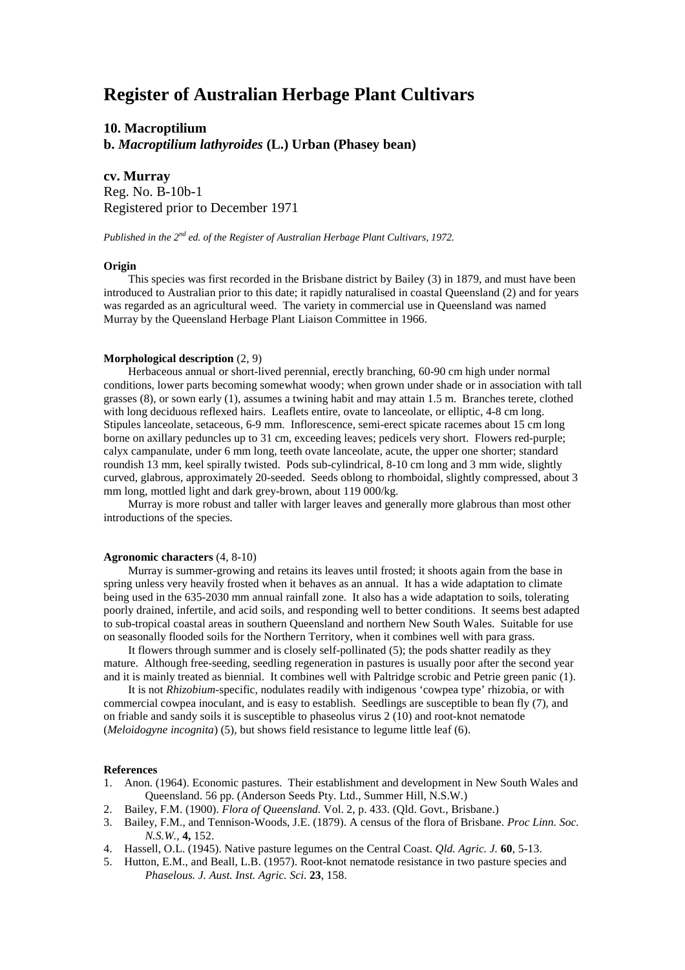# **Register of Australian Herbage Plant Cultivars**

**10. Macroptilium b.** *Macroptilium lathyroides* **(L.) Urban (Phasey bean)**

**cv. Murray** Reg. No. B-10b-1 Registered prior to December 1971

*Published in the 2nd ed. of the Register of Australian Herbage Plant Cultivars, 1972.*

## **Origin**

This species was first recorded in the Brisbane district by Bailey (3) in 1879, and must have been introduced to Australian prior to this date; it rapidly naturalised in coastal Queensland (2) and for years was regarded as an agricultural weed. The variety in commercial use in Queensland was named Murray by the Queensland Herbage Plant Liaison Committee in 1966.

## **Morphological description** (2, 9)

Herbaceous annual or short-lived perennial, erectly branching, 60-90 cm high under normal conditions, lower parts becoming somewhat woody; when grown under shade or in association with tall grasses (8), or sown early (1), assumes a twining habit and may attain 1.5 m. Branches terete, clothed with long deciduous reflexed hairs. Leaflets entire, ovate to lanceolate, or elliptic, 4-8 cm long. Stipules lanceolate, setaceous, 6-9 mm. Inflorescence, semi-erect spicate racemes about 15 cm long borne on axillary peduncles up to 31 cm, exceeding leaves; pedicels very short. Flowers red-purple; calyx campanulate, under 6 mm long, teeth ovate lanceolate, acute, the upper one shorter; standard roundish 13 mm, keel spirally twisted. Pods sub-cylindrical, 8-10 cm long and 3 mm wide, slightly curved, glabrous, approximately 20-seeded. Seeds oblong to rhomboidal, slightly compressed, about 3 mm long, mottled light and dark grey-brown, about 119 000/kg.

Murray is more robust and taller with larger leaves and generally more glabrous than most other introductions of the species.

### **Agronomic characters** (4, 8-10)

Murray is summer-growing and retains its leaves until frosted; it shoots again from the base in spring unless very heavily frosted when it behaves as an annual. It has a wide adaptation to climate being used in the 635-2030 mm annual rainfall zone. It also has a wide adaptation to soils, tolerating poorly drained, infertile, and acid soils, and responding well to better conditions. It seems best adapted to sub-tropical coastal areas in southern Queensland and northern New South Wales. Suitable for use on seasonally flooded soils for the Northern Territory, when it combines well with para grass.

It flowers through summer and is closely self-pollinated (5); the pods shatter readily as they mature. Although free-seeding, seedling regeneration in pastures is usually poor after the second year and it is mainly treated as biennial. It combines well with Paltridge scrobic and Petrie green panic (1).

It is not *Rhizobium-*specific, nodulates readily with indigenous 'cowpea type' rhizobia, or with commercial cowpea inoculant, and is easy to establish. Seedlings are susceptible to bean fly (7), and on friable and sandy soils it is susceptible to phaseolus virus 2 (10) and root-knot nematode (*Meloidogyne incognita*) (5), but shows field resistance to legume little leaf (6).

#### **References**

- 1. Anon. (1964). Economic pastures. Their establishment and development in New South Wales and Queensland. 56 pp. (Anderson Seeds Pty. Ltd., Summer Hill, N.S.W.)
- 2. Bailey, F.M. (1900). *Flora of Queensland.* Vol. 2, p. 433. (Qld. Govt., Brisbane.)
- 3. Bailey, F.M., and Tennison-Woods, J.E. (1879). A census of the flora of Brisbane. *Proc Linn. Soc. N.S.W.,* **4,** 152.
- 4. Hassell, O.L. (1945). Native pasture legumes on the Central Coast. *Qld. Agric. J.* **60**, 5-13.
- 5. Hutton, E.M., and Beall, L.B. (1957). Root-knot nematode resistance in two pasture species and *Phaselous. J. Aust. Inst. Agric. Sci.* **23**, 158.